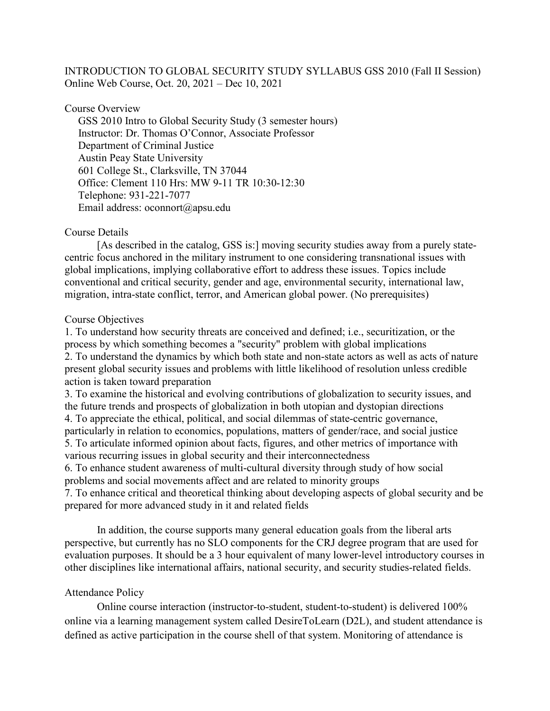# INTRODUCTION TO GLOBAL SECURITY STUDY SYLLABUS GSS 2010 (Fall II Session) Online Web Course, Oct. 20, 2021 – Dec 10, 2021

## Course Overview

 GSS 2010 Intro to Global Security Study (3 semester hours) Instructor: Dr. Thomas O'Connor, Associate Professor Department of Criminal Justice Austin Peay State University 601 College St., Clarksville, TN 37044 Office: Clement 110 Hrs: MW 9-11 TR 10:30-12:30 Telephone: 931-221-7077 Email address: oconnort@apsu.edu

## Course Details

 [As described in the catalog, GSS is:] moving security studies away from a purely statecentric focus anchored in the military instrument to one considering transnational issues with global implications, implying collaborative effort to address these issues. Topics include conventional and critical security, gender and age, environmental security, international law, migration, intra-state conflict, terror, and American global power. (No prerequisites)

### Course Objectives

1. To understand how security threats are conceived and defined; i.e., securitization, or the process by which something becomes a "security" problem with global implications 2. To understand the dynamics by which both state and non-state actors as well as acts of nature present global security issues and problems with little likelihood of resolution unless credible action is taken toward preparation

3. To examine the historical and evolving contributions of globalization to security issues, and the future trends and prospects of globalization in both utopian and dystopian directions 4. To appreciate the ethical, political, and social dilemmas of state-centric governance, particularly in relation to economics, populations, matters of gender/race, and social justice

5. To articulate informed opinion about facts, figures, and other metrics of importance with various recurring issues in global security and their interconnectedness

6. To enhance student awareness of multi-cultural diversity through study of how social problems and social movements affect and are related to minority groups

7. To enhance critical and theoretical thinking about developing aspects of global security and be prepared for more advanced study in it and related fields

In addition, the course supports many general education goals from the liberal arts perspective, but currently has no SLO components for the CRJ degree program that are used for evaluation purposes. It should be a 3 hour equivalent of many lower-level introductory courses in other disciplines like international affairs, national security, and security studies-related fields.

# Attendance Policy

Online course interaction (instructor-to-student, student-to-student) is delivered 100% online via a learning management system called DesireToLearn (D2L), and student attendance is defined as active participation in the course shell of that system. Monitoring of attendance is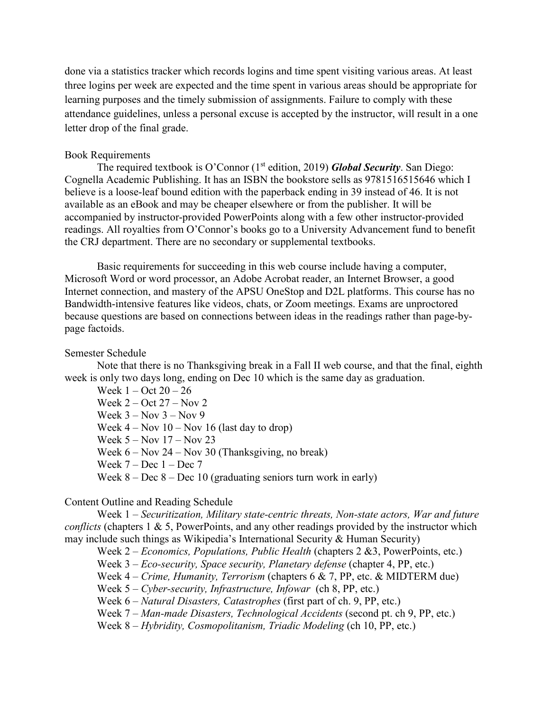done via a statistics tracker which records logins and time spent visiting various areas. At least three logins per week are expected and the time spent in various areas should be appropriate for learning purposes and the timely submission of assignments. Failure to comply with these attendance guidelines, unless a personal excuse is accepted by the instructor, will result in a one letter drop of the final grade.

### Book Requirements

The required textbook is O'Connor (1<sup>st</sup> edition, 2019) **Global Security**. San Diego: Cognella Academic Publishing. It has an ISBN the bookstore sells as 9781516515646 which I believe is a loose-leaf bound edition with the paperback ending in 39 instead of 46. It is not available as an eBook and may be cheaper elsewhere or from the publisher. It will be accompanied by instructor-provided PowerPoints along with a few other instructor-provided readings. All royalties from O'Connor's books go to a University Advancement fund to benefit the CRJ department. There are no secondary or supplemental textbooks.

Basic requirements for succeeding in this web course include having a computer, Microsoft Word or word processor, an Adobe Acrobat reader, an Internet Browser, a good Internet connection, and mastery of the APSU OneStop and D2L platforms. This course has no Bandwidth-intensive features like videos, chats, or Zoom meetings. Exams are unproctored because questions are based on connections between ideas in the readings rather than page-bypage factoids.

#### Semester Schedule

Note that there is no Thanksgiving break in a Fall II web course, and that the final, eighth week is only two days long, ending on Dec 10 which is the same day as graduation.

Week 1 – Oct 20 – 26 Week 2 – Oct 27 – Nov 2 Week  $3 - Nov 3 - Nov 9$ Week  $4 - Nov 10 - Nov 16$  (last day to drop) Week 5 – Nov 17 – Nov 23 Week 6 – Nov 24 – Nov 30 (Thanksgiving, no break) Week  $7 - Dec 1 - Dec 7$ Week  $8 - Dec 8 - Dec 10$  (graduating seniors turn work in early)

# Content Outline and Reading Schedule

Week 1 – *Securitization, Military state-centric threats, Non-state actors, War and future conflicts* (chapters 1 & 5, PowerPoints, and any other readings provided by the instructor which may include such things as Wikipedia's International Security & Human Security)

Week 2 – *Economics, Populations, Public Health* (chapters 2 &3, PowerPoints, etc.)

Week 3 – *Eco-security, Space security, Planetary defense* (chapter 4, PP, etc.)

Week 4 – *Crime, Humanity, Terrorism* (chapters 6 & 7, PP, etc. & MIDTERM due)

Week 5 – *Cyber-security, Infrastructure, Infowar* (ch 8, PP, etc.)

Week 6 – *Natural Disasters, Catastrophes* (first part of ch. 9, PP, etc.)

Week 7 – *Man-made Disasters, Technological Accidents* (second pt. ch 9, PP, etc.)

Week 8 – *Hybridity, Cosmopolitanism, Triadic Modeling* (ch 10, PP, etc.)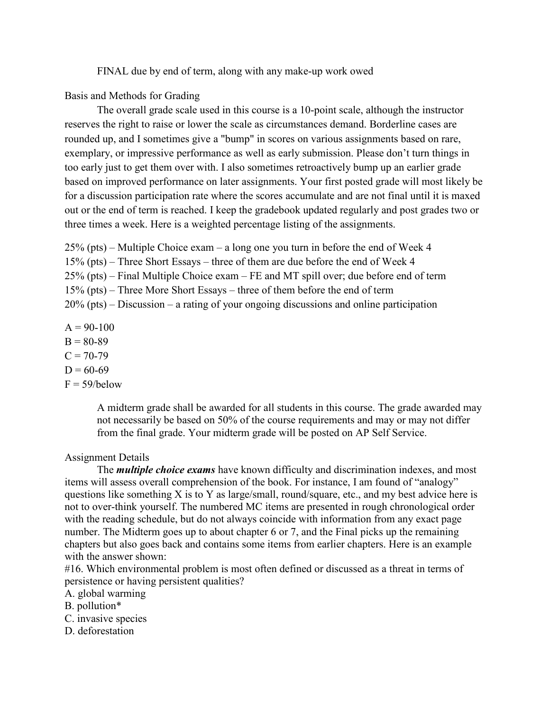FINAL due by end of term, along with any make-up work owed

Basis and Methods for Grading

The overall grade scale used in this course is a 10-point scale, although the instructor reserves the right to raise or lower the scale as circumstances demand. Borderline cases are rounded up, and I sometimes give a "bump" in scores on various assignments based on rare, exemplary, or impressive performance as well as early submission. Please don't turn things in too early just to get them over with. I also sometimes retroactively bump up an earlier grade based on improved performance on later assignments. Your first posted grade will most likely be for a discussion participation rate where the scores accumulate and are not final until it is maxed out or the end of term is reached. I keep the gradebook updated regularly and post grades two or three times a week. Here is a weighted percentage listing of the assignments.

25% (pts) – Multiple Choice exam – a long one you turn in before the end of Week 4

15% (pts) – Three Short Essays – three of them are due before the end of Week 4

25% (pts) – Final Multiple Choice exam – FE and MT spill over; due before end of term

15% (pts) – Three More Short Essays – three of them before the end of term

20% (pts) – Discussion – a rating of your ongoing discussions and online participation

 $A = 90-100$  $B = 80-89$  $C = 70-79$  $D = 60-69$  $F = 59/below$ 

> A midterm grade shall be awarded for all students in this course. The grade awarded may not necessarily be based on 50% of the course requirements and may or may not differ from the final grade. Your midterm grade will be posted on AP Self Service.

# Assignment Details

The *multiple choice exams* have known difficulty and discrimination indexes, and most items will assess overall comprehension of the book. For instance, I am found of "analogy" questions like something X is to Y as large/small, round/square, etc., and my best advice here is not to over-think yourself. The numbered MC items are presented in rough chronological order with the reading schedule, but do not always coincide with information from any exact page number. The Midterm goes up to about chapter 6 or 7, and the Final picks up the remaining chapters but also goes back and contains some items from earlier chapters. Here is an example with the answer shown:

#16. Which environmental problem is most often defined or discussed as a threat in terms of persistence or having persistent qualities?

A. global warming

B. pollution\*

- C. invasive species
- D. deforestation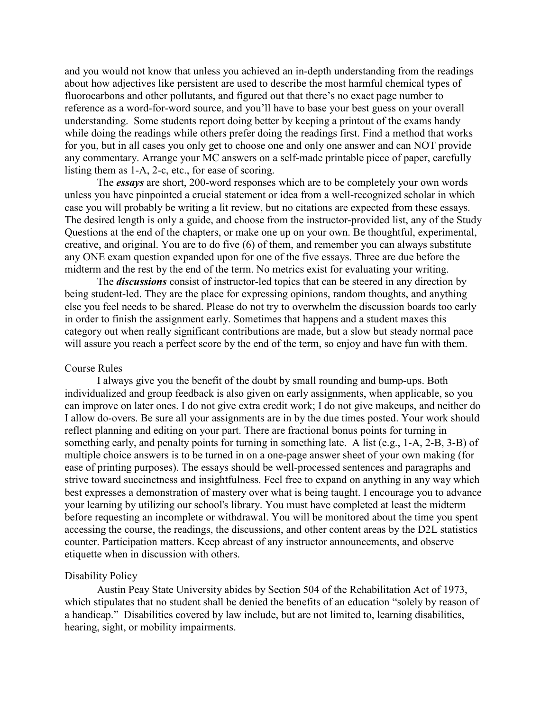and you would not know that unless you achieved an in-depth understanding from the readings about how adjectives like persistent are used to describe the most harmful chemical types of fluorocarbons and other pollutants, and figured out that there's no exact page number to reference as a word-for-word source, and you'll have to base your best guess on your overall understanding. Some students report doing better by keeping a printout of the exams handy while doing the readings while others prefer doing the readings first. Find a method that works for you, but in all cases you only get to choose one and only one answer and can NOT provide any commentary. Arrange your MC answers on a self-made printable piece of paper, carefully listing them as 1-A, 2-c, etc., for ease of scoring.

The *essays* are short, 200-word responses which are to be completely your own words unless you have pinpointed a crucial statement or idea from a well-recognized scholar in which case you will probably be writing a lit review, but no citations are expected from these essays. The desired length is only a guide, and choose from the instructor-provided list, any of the Study Questions at the end of the chapters, or make one up on your own. Be thoughtful, experimental, creative, and original. You are to do five (6) of them, and remember you can always substitute any ONE exam question expanded upon for one of the five essays. Three are due before the midterm and the rest by the end of the term. No metrics exist for evaluating your writing.

The *discussions* consist of instructor-led topics that can be steered in any direction by being student-led. They are the place for expressing opinions, random thoughts, and anything else you feel needs to be shared. Please do not try to overwhelm the discussion boards too early in order to finish the assignment early. Sometimes that happens and a student maxes this category out when really significant contributions are made, but a slow but steady normal pace will assure you reach a perfect score by the end of the term, so enjoy and have fun with them.

#### Course Rules

I always give you the benefit of the doubt by small rounding and bump-ups. Both individualized and group feedback is also given on early assignments, when applicable, so you can improve on later ones. I do not give extra credit work; I do not give makeups, and neither do I allow do-overs. Be sure all your assignments are in by the due times posted. Your work should reflect planning and editing on your part. There are fractional bonus points for turning in something early, and penalty points for turning in something late. A list (e.g., 1-A, 2-B, 3-B) of multiple choice answers is to be turned in on a one-page answer sheet of your own making (for ease of printing purposes). The essays should be well-processed sentences and paragraphs and strive toward succinctness and insightfulness. Feel free to expand on anything in any way which best expresses a demonstration of mastery over what is being taught. I encourage you to advance your learning by utilizing our school's library. You must have completed at least the midterm before requesting an incomplete or withdrawal. You will be monitored about the time you spent accessing the course, the readings, the discussions, and other content areas by the D2L statistics counter. Participation matters. Keep abreast of any instructor announcements, and observe etiquette when in discussion with others.

#### Disability Policy

Austin Peay State University abides by Section 504 of the Rehabilitation Act of 1973, which stipulates that no student shall be denied the benefits of an education "solely by reason of a handicap." Disabilities covered by law include, but are not limited to, learning disabilities, hearing, sight, or mobility impairments.